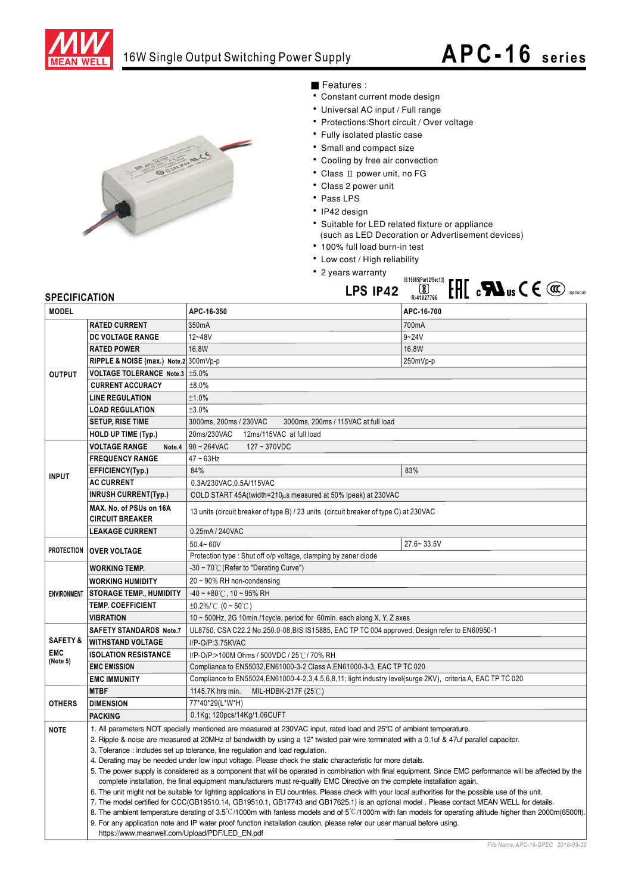

## 16W Single Output Switching Power Supply

# **APC-16 series**



## Features:

- Constant cu<br>• Liniversal A
- Constant current mode design<br>• Universal AC input / Full range
- $\frac{1}{2}$ • Universal AC input / Full range<br>• Protections:Short circuit / Over voltage<br>• Fully isolated plastic case
- Fully isolated plastic case
- Small and compact size
- Cooling by free air conv
- Cooling by tree air convection<br>• Class II power unit, no FG<br>• Class 2 power unit
- Class 2 power in<br>1
- · Pass LPS
- $\cdot$  IP42 design
- IP42 design<br>• Suitable for LED related fixture or appliance<br>(aush on LED Descration on Advertisement) LED Decoration or Advertisement of  $\ddot{\phantom{0}}$
- $\cdot$  100% full load burn-in test
- Low cost / High reliability
- Low cost / High re<br>• 2 years warranty T.



| <b>MODEL</b>        |                                                                                                                                                                                                                                                                                                                                                                                                                                                                                                                                                                                                                   | APC-16-350                                                                                                                                                | APC-16-700                        |  |
|---------------------|-------------------------------------------------------------------------------------------------------------------------------------------------------------------------------------------------------------------------------------------------------------------------------------------------------------------------------------------------------------------------------------------------------------------------------------------------------------------------------------------------------------------------------------------------------------------------------------------------------------------|-----------------------------------------------------------------------------------------------------------------------------------------------------------|-----------------------------------|--|
| <b>OUTPUT</b>       | <b>RATED CURRENT</b>                                                                                                                                                                                                                                                                                                                                                                                                                                                                                                                                                                                              | 350mA                                                                                                                                                     | 700mA                             |  |
|                     | DC VOLTAGE RANGE                                                                                                                                                                                                                                                                                                                                                                                                                                                                                                                                                                                                  | 12~48V                                                                                                                                                    | $9 - 24V$                         |  |
|                     | <b>RATED POWER</b>                                                                                                                                                                                                                                                                                                                                                                                                                                                                                                                                                                                                | 16.8W                                                                                                                                                     | 16.8W                             |  |
|                     | RIPPLE & NOISE (max.) Note.2 300mVp-p                                                                                                                                                                                                                                                                                                                                                                                                                                                                                                                                                                             |                                                                                                                                                           | 250mVp-p                          |  |
|                     | VOLTAGE TOLERANCE Note.3   ±5.0%                                                                                                                                                                                                                                                                                                                                                                                                                                                                                                                                                                                  |                                                                                                                                                           |                                   |  |
|                     | <b>CURRENT ACCURACY</b>                                                                                                                                                                                                                                                                                                                                                                                                                                                                                                                                                                                           | ±8.0%                                                                                                                                                     |                                   |  |
|                     | <b>LINE REGULATION</b>                                                                                                                                                                                                                                                                                                                                                                                                                                                                                                                                                                                            | ±1.0%                                                                                                                                                     |                                   |  |
|                     | <b>LOAD REGULATION</b>                                                                                                                                                                                                                                                                                                                                                                                                                                                                                                                                                                                            | ±3.0%                                                                                                                                                     |                                   |  |
|                     | <b>SETUP, RISE TIME</b>                                                                                                                                                                                                                                                                                                                                                                                                                                                                                                                                                                                           | 3000ms, 200ms / 230VAC<br>3000ms, 200ms / 115VAC at full load                                                                                             |                                   |  |
|                     | HOLD UP TIME (Typ.)                                                                                                                                                                                                                                                                                                                                                                                                                                                                                                                                                                                               | 20ms/230VAC<br>12ms/115VAC at full load                                                                                                                   |                                   |  |
|                     | <b>VOLTAGE RANGE</b><br>Note.4                                                                                                                                                                                                                                                                                                                                                                                                                                                                                                                                                                                    | $90 \sim 264$ VAC<br>127~370VDC                                                                                                                           |                                   |  |
| <b>INPUT</b>        | <b>FREQUENCY RANGE</b>                                                                                                                                                                                                                                                                                                                                                                                                                                                                                                                                                                                            | $47 - 63$ Hz                                                                                                                                              |                                   |  |
|                     | EFFICIENCY(Typ.)                                                                                                                                                                                                                                                                                                                                                                                                                                                                                                                                                                                                  | 84%                                                                                                                                                       | 83%                               |  |
|                     | <b>AC CURRENT</b>                                                                                                                                                                                                                                                                                                                                                                                                                                                                                                                                                                                                 | 0.3A/230VAC;0.5A/115VAC                                                                                                                                   |                                   |  |
|                     | <b>INRUSH CURRENT(Typ.)</b>                                                                                                                                                                                                                                                                                                                                                                                                                                                                                                                                                                                       | COLD START 45A(twidth=210µs measured at 50% Ipeak) at 230VAC                                                                                              |                                   |  |
|                     | MAX. No. of PSUs on 16A<br><b>CIRCUIT BREAKER</b>                                                                                                                                                                                                                                                                                                                                                                                                                                                                                                                                                                 | 13 units (circuit breaker of type B) / 23 units (circuit breaker of type C) at 230VAC                                                                     |                                   |  |
|                     | <b>LEAKAGE CURRENT</b>                                                                                                                                                                                                                                                                                                                                                                                                                                                                                                                                                                                            | 0.25mA / 240VAC                                                                                                                                           |                                   |  |
| <b>PROTECTION</b>   |                                                                                                                                                                                                                                                                                                                                                                                                                                                                                                                                                                                                                   | $50.4 - 60V$                                                                                                                                              | $27.6 - 33.5V$                    |  |
|                     | <b>OVER VOLTAGE</b>                                                                                                                                                                                                                                                                                                                                                                                                                                                                                                                                                                                               | Protection type: Shut off o/p voltage, clamping by zener diode                                                                                            |                                   |  |
| <b>ENVIRONMENT</b>  | <b>WORKING TEMP.</b>                                                                                                                                                                                                                                                                                                                                                                                                                                                                                                                                                                                              | -30 ~ 70°C (Refer to "Derating Curve")                                                                                                                    |                                   |  |
|                     | <b>WORKING HUMIDITY</b>                                                                                                                                                                                                                                                                                                                                                                                                                                                                                                                                                                                           | $20 \sim 90\%$ RH non-condensing                                                                                                                          |                                   |  |
|                     | <b>STORAGE TEMP., HUMIDITY</b>                                                                                                                                                                                                                                                                                                                                                                                                                                                                                                                                                                                    | $-40 \sim +80^{\circ}$ C, 10 ~ 95% RH                                                                                                                     |                                   |  |
|                     | <b>TEMP. COEFFICIENT</b>                                                                                                                                                                                                                                                                                                                                                                                                                                                                                                                                                                                          | $\pm 0.2\%$ /°C (0~50°C)                                                                                                                                  |                                   |  |
|                     | <b>VIBRATION</b>                                                                                                                                                                                                                                                                                                                                                                                                                                                                                                                                                                                                  | 10 ~ 500Hz, 2G 10min./1cycle, period for 60min. each along X, Y, Z axes                                                                                   |                                   |  |
|                     | <b>SAFETY STANDARDS Note.7</b>                                                                                                                                                                                                                                                                                                                                                                                                                                                                                                                                                                                    | UL8750, CSA C22.2 No.250.0-08, BIS IS15885, EAC TP TC 004 approved, Design refer to EN60950-1                                                             |                                   |  |
| <b>SAFETY &amp;</b> | <b>WITHSTAND VOLTAGE</b>                                                                                                                                                                                                                                                                                                                                                                                                                                                                                                                                                                                          | I/P-O/P:3.75KVAC                                                                                                                                          |                                   |  |
| <b>EMC</b>          | <b>ISOLATION RESISTANCE</b>                                                                                                                                                                                                                                                                                                                                                                                                                                                                                                                                                                                       | I/P-O/P:>100M Ohms / 500VDC / 25℃/ 70% RH                                                                                                                 |                                   |  |
| (Note 5)            | <b>EMC EMISSION</b>                                                                                                                                                                                                                                                                                                                                                                                                                                                                                                                                                                                               | Compliance to EN55032, EN61000-3-2 Class A, EN61000-3-3, EAC TP TC 020                                                                                    |                                   |  |
|                     | <b>EMC IMMUNITY</b>                                                                                                                                                                                                                                                                                                                                                                                                                                                                                                                                                                                               | Compliance to EN55024, EN61000-4-2, 3, 4, 5, 6, 8, 11; light industry level (surge 2KV), criteria A, EAC TP TC 020                                        |                                   |  |
|                     | <b>MTBF</b>                                                                                                                                                                                                                                                                                                                                                                                                                                                                                                                                                                                                       | MIL-HDBK-217F (25℃)<br>1145.7K hrs min.                                                                                                                   |                                   |  |
| <b>OTHERS</b>       | <b>DIMENSION</b>                                                                                                                                                                                                                                                                                                                                                                                                                                                                                                                                                                                                  | 77*40*29(L*W*H)                                                                                                                                           |                                   |  |
|                     | <b>PACKING</b>                                                                                                                                                                                                                                                                                                                                                                                                                                                                                                                                                                                                    | 0.1Kg; 120pcs/14Kg/1.06CUFT                                                                                                                               |                                   |  |
| <b>NOTE</b>         | 1. All parameters NOT specially mentioned are measured at 230VAC input, rated load and 25°C of ambient temperature.<br>2. Ripple & noise are measured at 20MHz of bandwidth by using a 12" twisted pair-wire terminated with a 0.1uf & 47uf parallel capacitor.                                                                                                                                                                                                                                                                                                                                                   |                                                                                                                                                           |                                   |  |
|                     |                                                                                                                                                                                                                                                                                                                                                                                                                                                                                                                                                                                                                   | 3. Tolerance: includes set up tolerance, line regulation and load regulation.                                                                             |                                   |  |
|                     | 4. Derating may be needed under low input voltage. Please check the static characteristic for more details.                                                                                                                                                                                                                                                                                                                                                                                                                                                                                                       |                                                                                                                                                           |                                   |  |
|                     |                                                                                                                                                                                                                                                                                                                                                                                                                                                                                                                                                                                                                   | 5. The power supply is considered as a component that will be operated in combination with final equipment. Since EMC performance will be affected by the |                                   |  |
|                     |                                                                                                                                                                                                                                                                                                                                                                                                                                                                                                                                                                                                                   | complete installation, the final equipment manufacturers must re-qualify EMC Directive on the complete installation again.                                |                                   |  |
|                     | 6. The unit might not be suitable for lighting applications in EU countries. Please check with your local authorities for the possible use of the unit.<br>7. The model certified for CCC(GB19510.14, GB19510.1, GB17743 and GB17625.1) is an optional model . Please contact MEAN WELL for details.<br>8. The ambient temperature derating of $3.5^{\circ}$ C/1000m with fanless models and of $5^{\circ}$ C/1000m with fan models for operating altitude higher than 2000m(6500ft).<br>9. For any application note and IP water proof function installation caution, please refer our user manual before using. |                                                                                                                                                           |                                   |  |
|                     |                                                                                                                                                                                                                                                                                                                                                                                                                                                                                                                                                                                                                   |                                                                                                                                                           |                                   |  |
|                     |                                                                                                                                                                                                                                                                                                                                                                                                                                                                                                                                                                                                                   |                                                                                                                                                           |                                   |  |
|                     | https://www.meanwell.com/Upload/PDF/LED EN.pdf                                                                                                                                                                                                                                                                                                                                                                                                                                                                                                                                                                    |                                                                                                                                                           |                                   |  |
|                     |                                                                                                                                                                                                                                                                                                                                                                                                                                                                                                                                                                                                                   |                                                                                                                                                           | File Name: APC-16-SPEC 2018-09-29 |  |